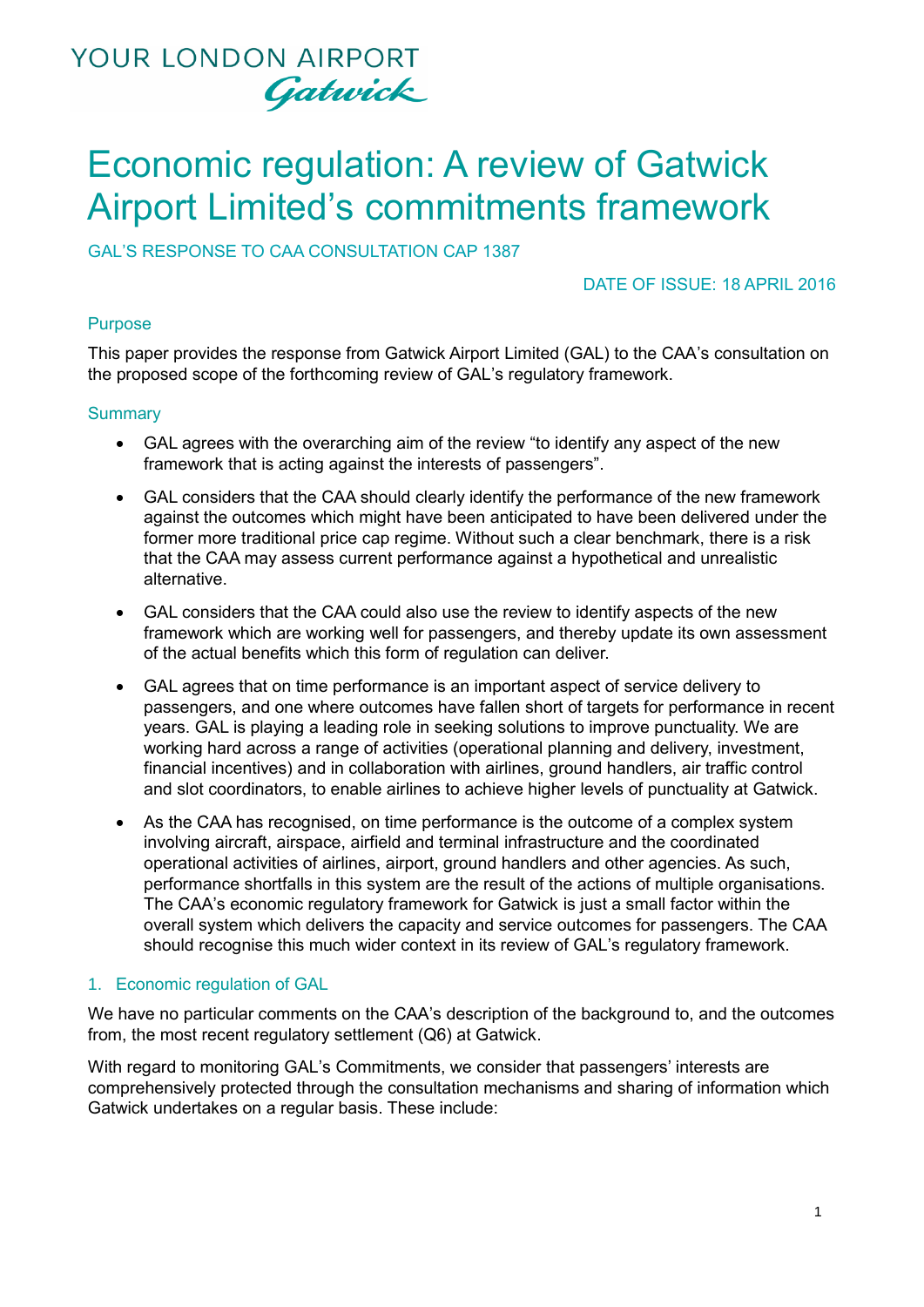

# Economic regulation: A review of Gatwick Airport Limited's commitments framework

GAL'S RESPONSE TO CAA CONSULTATION CAP 1387

DATE OF ISSUE: 18 APRIL 2016

### Purpose

This paper provides the response from Gatwick Airport Limited (GAL) to the CAA's consultation on the proposed scope of the forthcoming review of GAL's regulatory framework.

### **Summary**

- GAL agrees with the overarching aim of the review "to identify any aspect of the new framework that is acting against the interests of passengers".
- GAL considers that the CAA should clearly identify the performance of the new framework against the outcomes which might have been anticipated to have been delivered under the former more traditional price cap regime. Without such a clear benchmark, there is a risk that the CAA may assess current performance against a hypothetical and unrealistic alternative.
- GAL considers that the CAA could also use the review to identify aspects of the new framework which are working well for passengers, and thereby update its own assessment of the actual benefits which this form of regulation can deliver.
- GAL agrees that on time performance is an important aspect of service delivery to passengers, and one where outcomes have fallen short of targets for performance in recent years. GAL is playing a leading role in seeking solutions to improve punctuality. We are working hard across a range of activities (operational planning and delivery, investment, financial incentives) and in collaboration with airlines, ground handlers, air traffic control and slot coordinators, to enable airlines to achieve higher levels of punctuality at Gatwick.
- As the CAA has recognised, on time performance is the outcome of a complex system involving aircraft, airspace, airfield and terminal infrastructure and the coordinated operational activities of airlines, airport, ground handlers and other agencies. As such, performance shortfalls in this system are the result of the actions of multiple organisations. The CAA's economic regulatory framework for Gatwick is just a small factor within the overall system which delivers the capacity and service outcomes for passengers. The CAA should recognise this much wider context in its review of GAL's regulatory framework.

### 1. Economic regulation of GAL

We have no particular comments on the CAA's description of the background to, and the outcomes from, the most recent regulatory settlement (Q6) at Gatwick.

With regard to monitoring GAL's Commitments, we consider that passengers' interests are comprehensively protected through the consultation mechanisms and sharing of information which Gatwick undertakes on a regular basis. These include: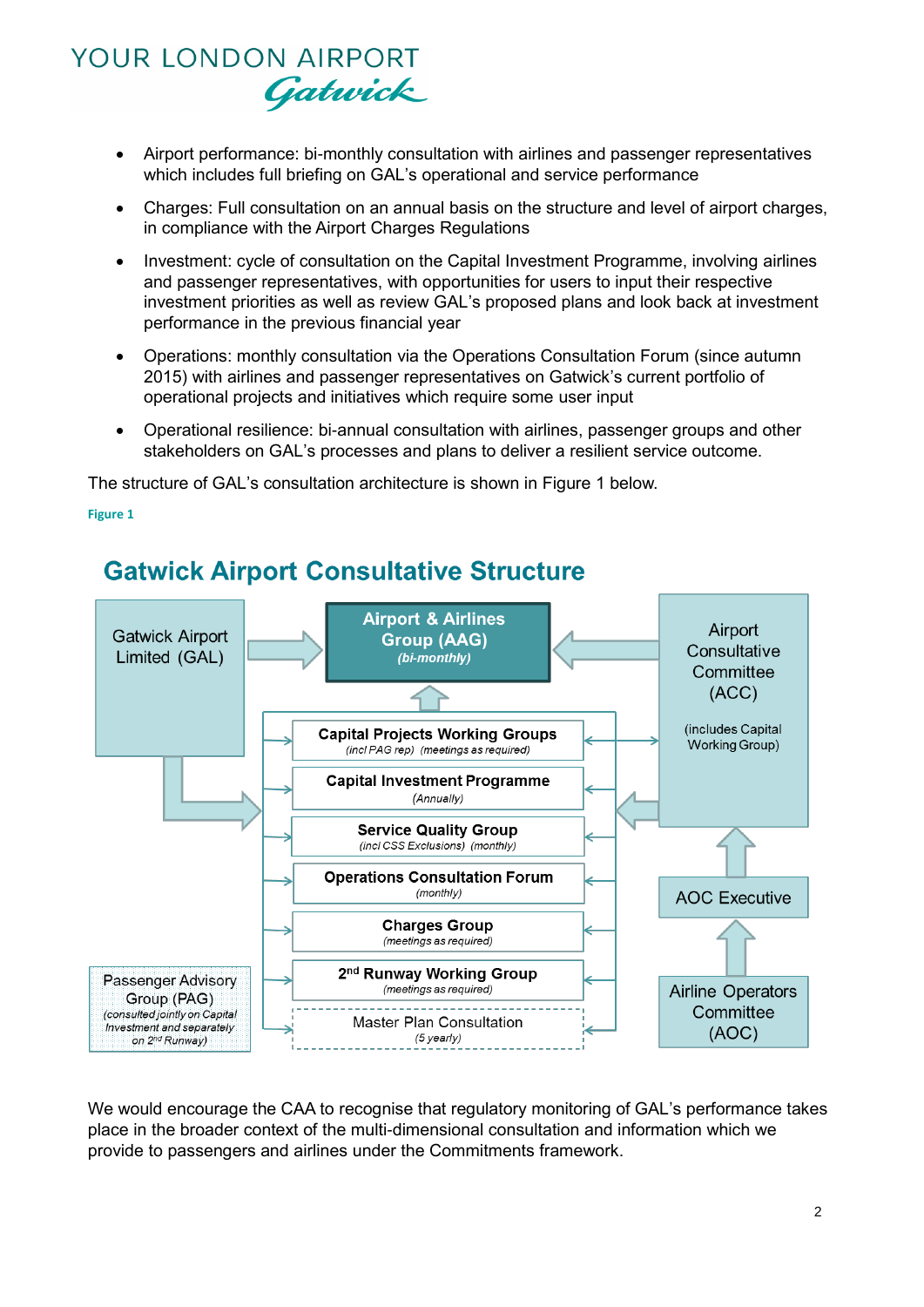- Airport performance: bi-monthly consultation with airlines and passenger representatives which includes full briefing on GAL's operational and service performance
- Charges: Full consultation on an annual basis on the structure and level of airport charges, in compliance with the Airport Charges Regulations
- Investment: cycle of consultation on the Capital Investment Programme, involving airlines and passenger representatives, with opportunities for users to input their respective investment priorities as well as review GAL's proposed plans and look back at investment performance in the previous financial year
- Operations: monthly consultation via the Operations Consultation Forum (since autumn 2015) with airlines and passenger representatives on Gatwick's current portfolio of operational projects and initiatives which require some user input
- Operational resilience: bi-annual consultation with airlines, passenger groups and other stakeholders on GAL's processes and plans to deliver a resilient service outcome.

The structure of GAL's consultation architecture is shown in [Figure 1](#page-1-0) below.

#### <span id="page-1-0"></span>**Figure 1**



### **Gatwick Airport Consultative Structure**

We would encourage the CAA to recognise that regulatory monitoring of GAL's performance takes place in the broader context of the multi-dimensional consultation and information which we provide to passengers and airlines under the Commitments framework.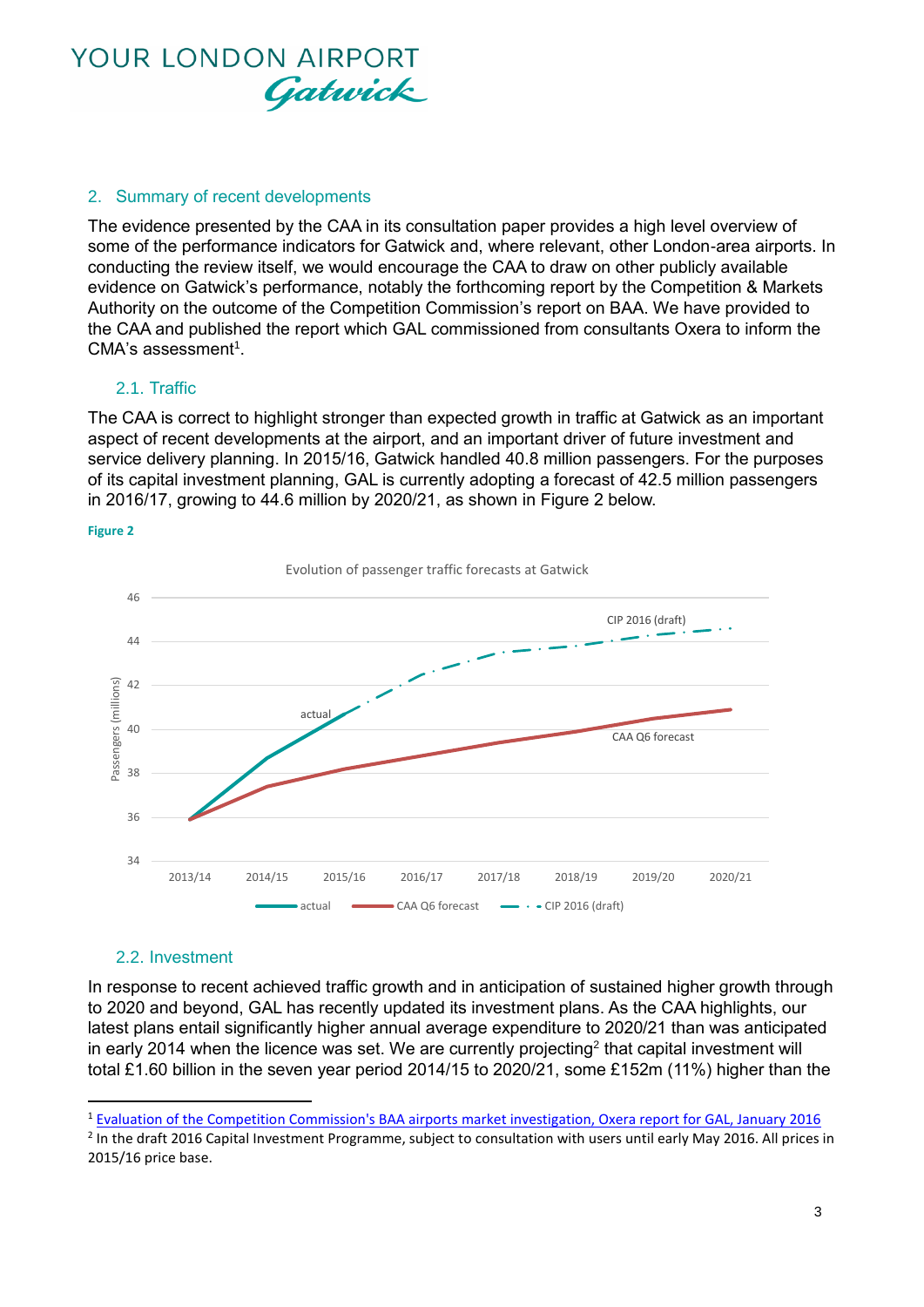

### 2. Summary of recent developments

The evidence presented by the CAA in its consultation paper provides a high level overview of some of the performance indicators for Gatwick and, where relevant, other London-area airports. In conducting the review itself, we would encourage the CAA to draw on other publicly available evidence on Gatwick's performance, notably the forthcoming report by the Competition & Markets Authority on the outcome of the Competition Commission's report on BAA. We have provided to the CAA and published the report which GAL commissioned from consultants Oxera to inform the CMA's assessment<sup>1</sup>.

### 2.1. Traffic

The CAA is correct to highlight stronger than expected growth in traffic at Gatwick as an important aspect of recent developments at the airport, and an important driver of future investment and service delivery planning. In 2015/16, Gatwick handled 40.8 million passengers. For the purposes of its capital investment planning, GAL is currently adopting a forecast of 42.5 million passengers in 2016/17, growing to 44.6 million by 2020/21, as shown in [Figure 2](#page-2-0) below.

#### <span id="page-2-0"></span>**Figure 2**



### 2.2. Investment

 $\overline{a}$ 

In response to recent achieved traffic growth and in anticipation of sustained higher growth through to 2020 and beyond, GAL has recently updated its investment plans. As the CAA highlights, our latest plans entail significantly higher annual average expenditure to 2020/21 than was anticipated in early 2014 when the licence was set. We are currently projecting<sup>2</sup> that capital investment will total £1.60 billion in the seven year period 2014/15 to 2020/21, some £152m (11%) higher than the

<sup>1</sup> [Evaluation of the Competition Commission's BAA airports market investigation, Oxera report for GAL, January 2016](http://www.gatwickairport.com/globalassets/publicationfiles/business_and_community/regulation/competition/gal-oxera-report.pdf)

<sup>&</sup>lt;sup>2</sup> In the draft 2016 Capital Investment Programme, subject to consultation with users until early May 2016. All prices in 2015/16 price base.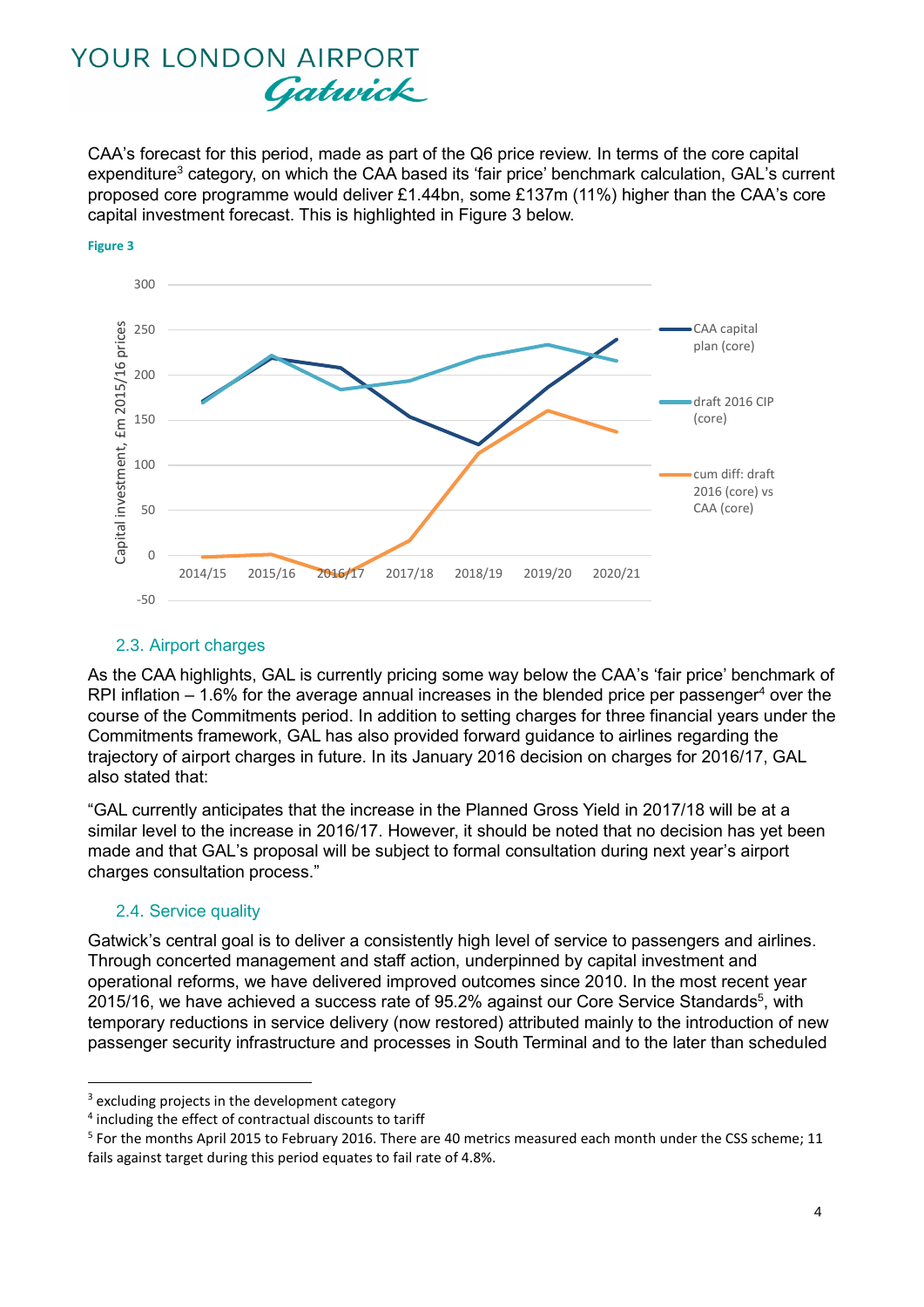CAA's forecast for this period, made as part of the Q6 price review. In terms of the core capital expenditure<sup>3</sup> category, on which the CAA based its 'fair price' benchmark calculation, GAL's current proposed core programme would deliver £1.44bn, some £137m (11%) higher than the CAA's core capital investment forecast. This is highlighted in [Figure 3](#page-3-0) below.



#### <span id="page-3-0"></span>**Figure 3**

### 2.3. Airport charges

As the CAA highlights, GAL is currently pricing some way below the CAA's 'fair price' benchmark of RPI inflation  $-1.6\%$  for the average annual increases in the blended price per passenger<sup>4</sup> over the course of the Commitments period. In addition to setting charges for three financial years under the Commitments framework, GAL has also provided forward guidance to airlines regarding the trajectory of airport charges in future. In its January 2016 decision on charges for 2016/17, GAL also stated that:

"GAL currently anticipates that the increase in the Planned Gross Yield in 2017/18 will be at a similar level to the increase in 2016/17. However, it should be noted that no decision has yet been made and that GAL's proposal will be subject to formal consultation during next year's airport charges consultation process."

### 2.4. Service quality

**.** 

Gatwick's central goal is to deliver a consistently high level of service to passengers and airlines. Through concerted management and staff action, underpinned by capital investment and operational reforms, we have delivered improved outcomes since 2010. In the most recent year 2015/16, we have achieved a success rate of 95.2% against our Core Service Standards<sup>5</sup>, with temporary reductions in service delivery (now restored) attributed mainly to the introduction of new passenger security infrastructure and processes in South Terminal and to the later than scheduled

<sup>&</sup>lt;sup>3</sup> excluding projects in the development category

<sup>&</sup>lt;sup>4</sup> including the effect of contractual discounts to tariff

<sup>&</sup>lt;sup>5</sup> For the months April 2015 to February 2016. There are 40 metrics measured each month under the CSS scheme; 11 fails against target during this period equates to fail rate of 4.8%.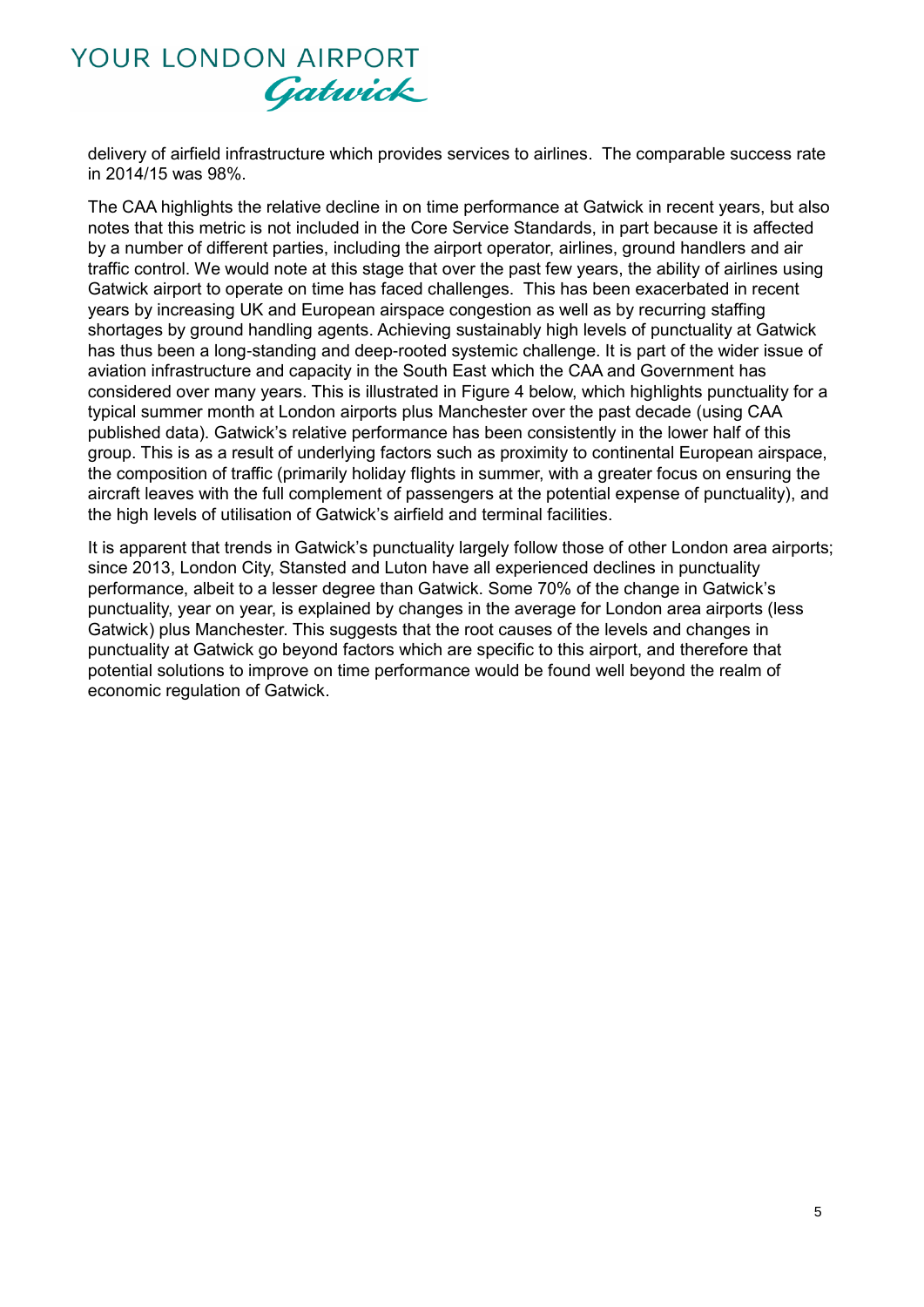delivery of airfield infrastructure which provides services to airlines. The comparable success rate in 2014/15 was 98%.

The CAA highlights the relative decline in on time performance at Gatwick in recent years, but also notes that this metric is not included in the Core Service Standards, in part because it is affected by a number of different parties, including the airport operator, airlines, ground handlers and air traffic control. We would note at this stage that over the past few years, the ability of airlines using Gatwick airport to operate on time has faced challenges. This has been exacerbated in recent years by increasing UK and European airspace congestion as well as by recurring staffing shortages by ground handling agents. Achieving sustainably high levels of punctuality at Gatwick has thus been a long-standing and deep-rooted systemic challenge. It is part of the wider issue of aviation infrastructure and capacity in the South East which the CAA and Government has considered over many years. This is illustrated in [Figure 4](#page-5-0) below, which highlights punctuality for a typical summer month at London airports plus Manchester over the past decade (using CAA published data). Gatwick's relative performance has been consistently in the lower half of this group. This is as a result of underlying factors such as proximity to continental European airspace, the composition of traffic (primarily holiday flights in summer, with a greater focus on ensuring the aircraft leaves with the full complement of passengers at the potential expense of punctuality), and the high levels of utilisation of Gatwick's airfield and terminal facilities.

It is apparent that trends in Gatwick's punctuality largely follow those of other London area airports; since 2013, London City, Stansted and Luton have all experienced declines in punctuality performance, albeit to a lesser degree than Gatwick. Some 70% of the change in Gatwick's punctuality, year on year, is explained by changes in the average for London area airports (less Gatwick) plus Manchester. This suggests that the root causes of the levels and changes in punctuality at Gatwick go beyond factors which are specific to this airport, and therefore that potential solutions to improve on time performance would be found well beyond the realm of economic regulation of Gatwick.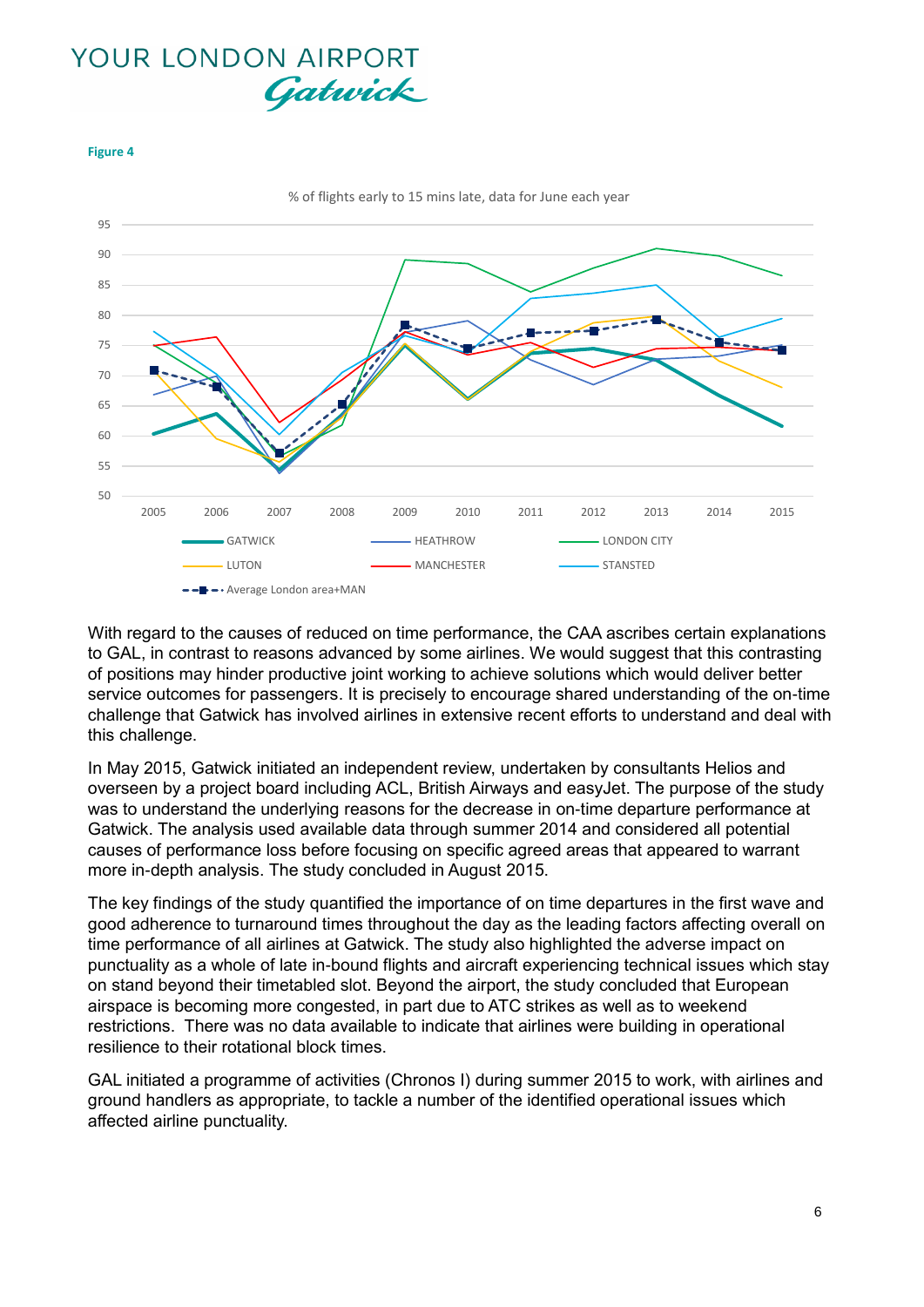<span id="page-5-0"></span>



With regard to the causes of reduced on time performance, the CAA ascribes certain explanations to GAL, in contrast to reasons advanced by some airlines. We would suggest that this contrasting of positions may hinder productive joint working to achieve solutions which would deliver better service outcomes for passengers. It is precisely to encourage shared understanding of the on-time challenge that Gatwick has involved airlines in extensive recent efforts to understand and deal with this challenge.

In May 2015, Gatwick initiated an independent review, undertaken by consultants Helios and overseen by a project board including ACL, British Airways and easyJet. The purpose of the study was to understand the underlying reasons for the decrease in on-time departure performance at Gatwick. The analysis used available data through summer 2014 and considered all potential causes of performance loss before focusing on specific agreed areas that appeared to warrant more in-depth analysis. The study concluded in August 2015.

The key findings of the study quantified the importance of on time departures in the first wave and good adherence to turnaround times throughout the day as the leading factors affecting overall on time performance of all airlines at Gatwick. The study also highlighted the adverse impact on punctuality as a whole of late in-bound flights and aircraft experiencing technical issues which stay on stand beyond their timetabled slot. Beyond the airport, the study concluded that European airspace is becoming more congested, in part due to ATC strikes as well as to weekend restrictions. There was no data available to indicate that airlines were building in operational resilience to their rotational block times.

GAL initiated a programme of activities (Chronos I) during summer 2015 to work, with airlines and ground handlers as appropriate, to tackle a number of the identified operational issues which affected airline punctuality.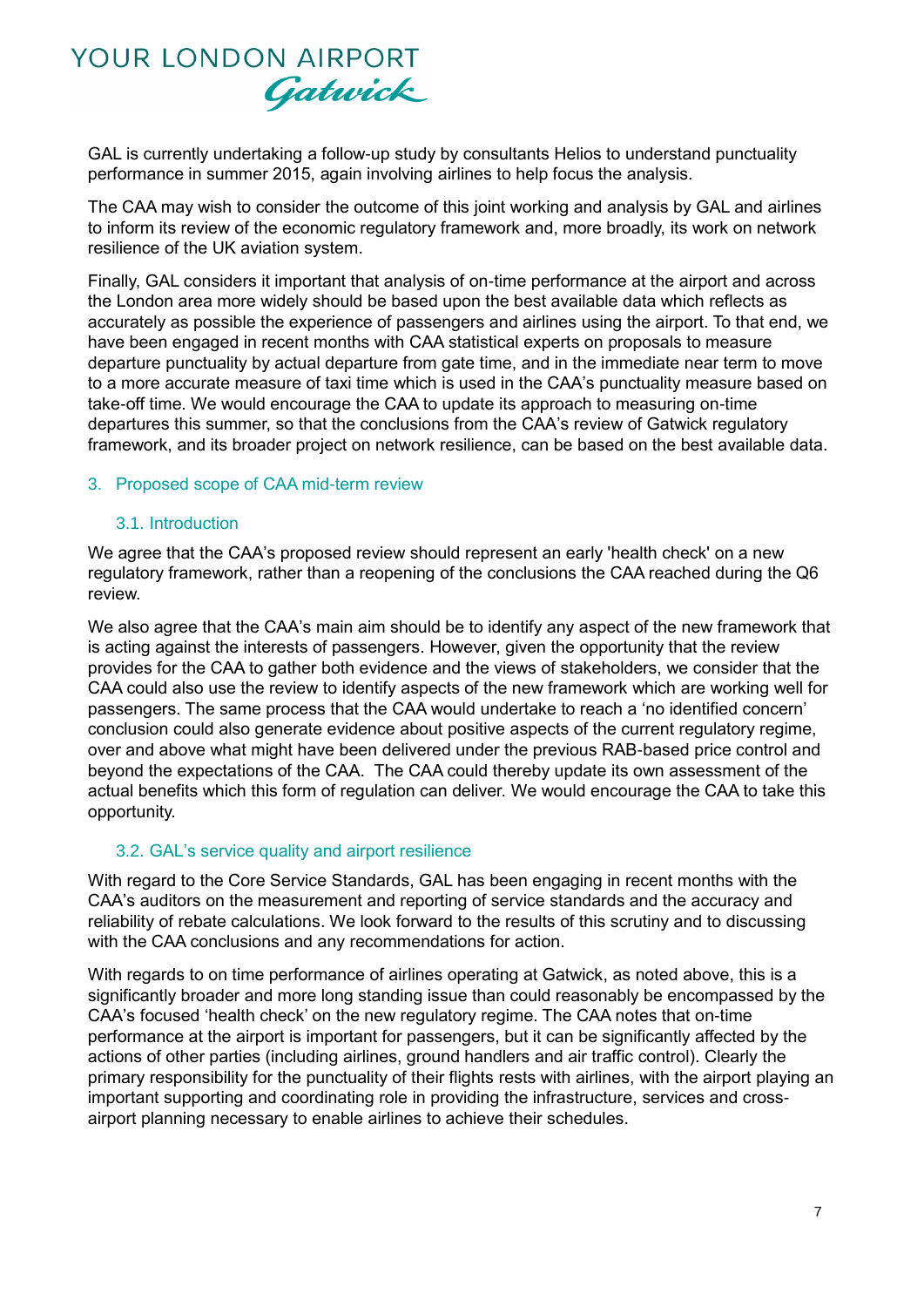GAL is currently undertaking a follow-up study by consultants Helios to understand punctuality performance in summer 2015, again involving airlines to help focus the analysis.

The CAA may wish to consider the outcome of this joint working and analysis by GAL and airlines to inform its review of the economic regulatory framework and, more broadly, its work on network resilience of the UK aviation system.

Finally, GAL considers it important that analysis of on-time performance at the airport and across the London area more widely should be based upon the best available data which reflects as accurately as possible the experience of passengers and airlines using the airport. To that end, we have been engaged in recent months with CAA statistical experts on proposals to measure departure punctuality by actual departure from gate time, and in the immediate near term to move to a more accurate measure of taxi time which is used in the CAA's punctuality measure based on take-off time. We would encourage the CAA to update its approach to measuring on-time departures this summer, so that the conclusions from the CAA's review of Gatwick regulatory framework, and its broader project on network resilience, can be based on the best available data.

### 3. Proposed scope of CAA mid-term review

### 3.1. Introduction

We agree that the CAA's proposed review should represent an early 'health check' on a new regulatory framework, rather than a reopening of the conclusions the CAA reached during the Q6 review.

We also agree that the CAA's main aim should be to identify any aspect of the new framework that is acting against the interests of passengers. However, given the opportunity that the review provides for the CAA to gather both evidence and the views of stakeholders, we consider that the CAA could also use the review to identify aspects of the new framework which are working well for passengers. The same process that the CAA would undertake to reach a 'no identified concern' conclusion could also generate evidence about positive aspects of the current regulatory regime, over and above what might have been delivered under the previous RAB-based price control and beyond the expectations of the CAA. The CAA could thereby update its own assessment of the actual benefits which this form of regulation can deliver. We would encourage the CAA to take this opportunity.

### 3.2. GAL's service quality and airport resilience

With regard to the Core Service Standards, GAL has been engaging in recent months with the CAA's auditors on the measurement and reporting of service standards and the accuracy and reliability of rebate calculations. We look forward to the results of this scrutiny and to discussing with the CAA conclusions and any recommendations for action.

With regards to on time performance of airlines operating at Gatwick, as noted above, this is a significantly broader and more long standing issue than could reasonably be encompassed by the CAA's focused 'health check' on the new regulatory regime. The CAA notes that on-time performance at the airport is important for passengers, but it can be significantly affected by the actions of other parties (including airlines, ground handlers and air traffic control). Clearly the primary responsibility for the punctuality of their flights rests with airlines, with the airport playing an important supporting and coordinating role in providing the infrastructure, services and crossairport planning necessary to enable airlines to achieve their schedules.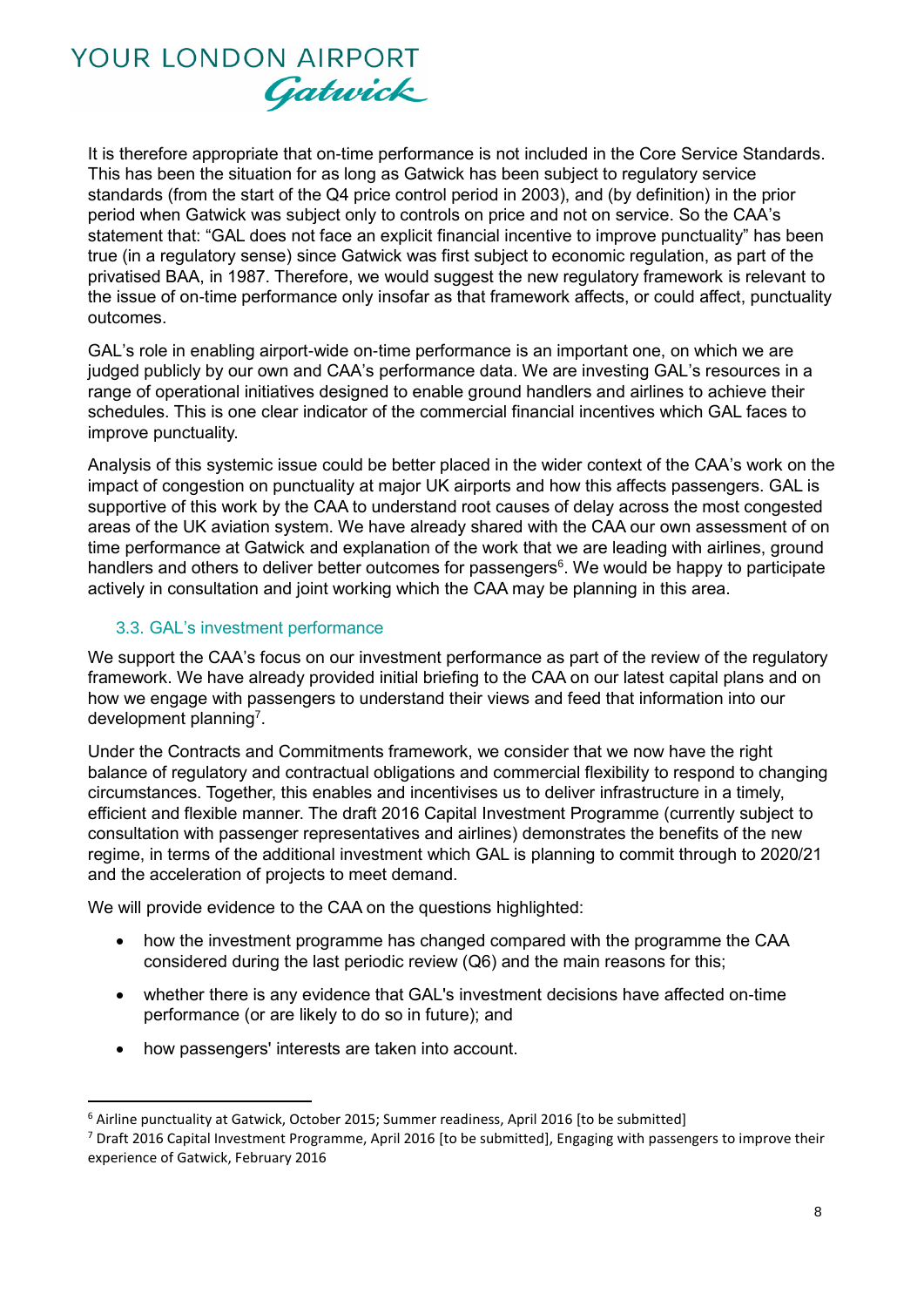It is therefore appropriate that on-time performance is not included in the Core Service Standards. This has been the situation for as long as Gatwick has been subject to regulatory service standards (from the start of the Q4 price control period in 2003), and (by definition) in the prior period when Gatwick was subject only to controls on price and not on service. So the CAA's statement that: "GAL does not face an explicit financial incentive to improve punctuality" has been true (in a regulatory sense) since Gatwick was first subject to economic regulation, as part of the privatised BAA, in 1987. Therefore, we would suggest the new regulatory framework is relevant to the issue of on-time performance only insofar as that framework affects, or could affect, punctuality outcomes.

GAL's role in enabling airport-wide on-time performance is an important one, on which we are judged publicly by our own and CAA's performance data. We are investing GAL's resources in a range of operational initiatives designed to enable ground handlers and airlines to achieve their schedules. This is one clear indicator of the commercial financial incentives which GAL faces to improve punctuality.

Analysis of this systemic issue could be better placed in the wider context of the CAA's work on the impact of congestion on punctuality at major UK airports and how this affects passengers. GAL is supportive of this work by the CAA to understand root causes of delay across the most congested areas of the UK aviation system. We have already shared with the CAA our own assessment of on time performance at Gatwick and explanation of the work that we are leading with airlines, ground handlers and others to deliver better outcomes for passengers<sup>6</sup>. We would be happy to participate actively in consultation and joint working which the CAA may be planning in this area.

### 3.3. GAL's investment performance

We support the CAA's focus on our investment performance as part of the review of the regulatory framework. We have already provided initial briefing to the CAA on our latest capital plans and on how we engage with passengers to understand their views and feed that information into our development planning<sup>7</sup>.

Under the Contracts and Commitments framework, we consider that we now have the right balance of regulatory and contractual obligations and commercial flexibility to respond to changing circumstances. Together, this enables and incentivises us to deliver infrastructure in a timely, efficient and flexible manner. The draft 2016 Capital Investment Programme (currently subject to consultation with passenger representatives and airlines) demonstrates the benefits of the new regime, in terms of the additional investment which GAL is planning to commit through to 2020/21 and the acceleration of projects to meet demand.

We will provide evidence to the CAA on the questions highlighted:

- how the investment programme has changed compared with the programme the CAA considered during the last periodic review (Q6) and the main reasons for this;
- whether there is any evidence that GAL's investment decisions have affected on-time performance (or are likely to do so in future); and
- how passengers' interests are taken into account.

 $\overline{a}$ 

 $6$  Airline punctuality at Gatwick, October 2015; Summer readiness, April 2016 [to be submitted]

<sup>7</sup> Draft 2016 Capital Investment Programme, April 2016 [to be submitted], Engaging with passengers to improve their experience of Gatwick, February 2016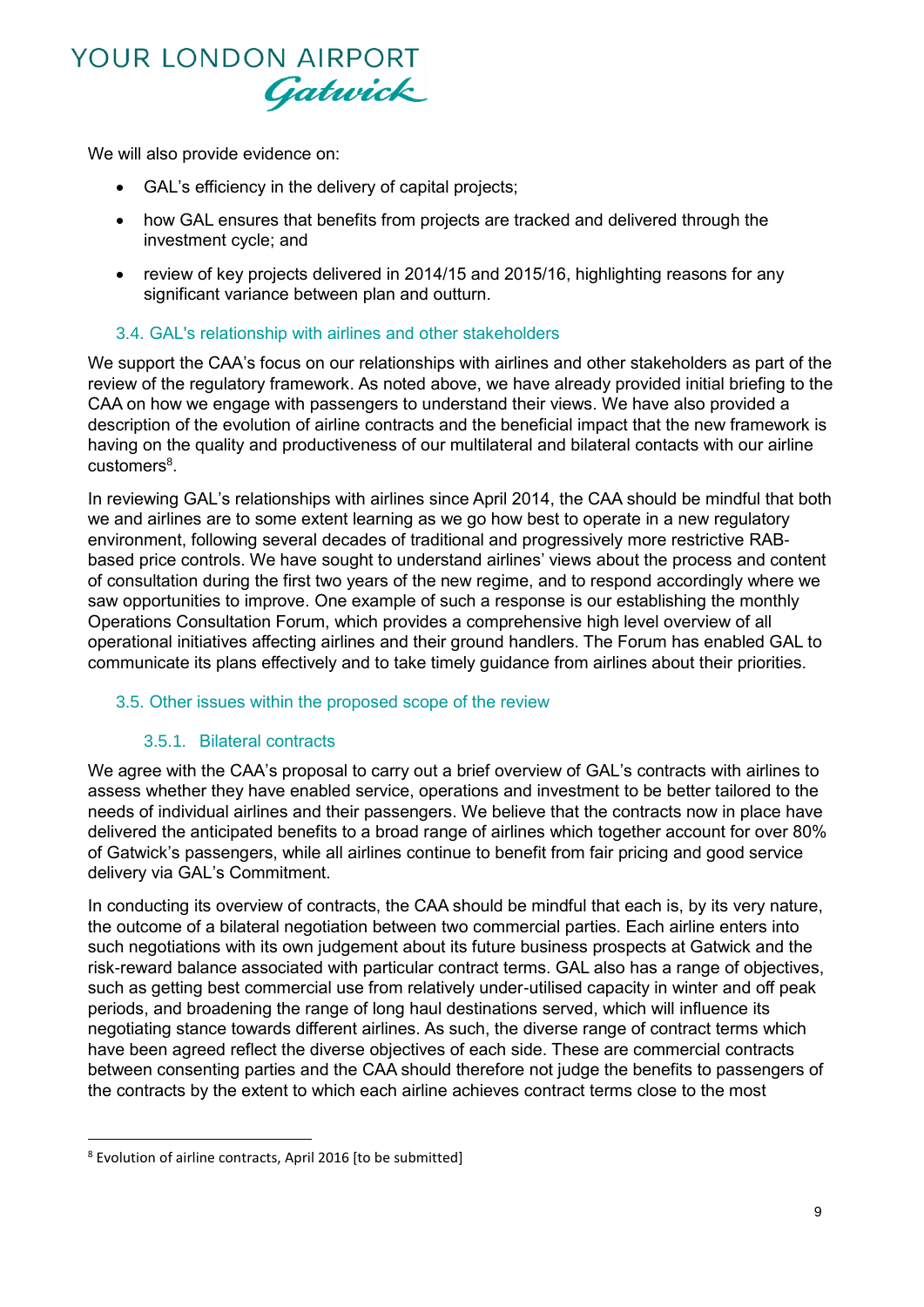We will also provide evidence on:

- GAL's efficiency in the delivery of capital projects;
- how GAL ensures that benefits from projects are tracked and delivered through the investment cycle; and
- review of key projects delivered in 2014/15 and 2015/16, highlighting reasons for any significant variance between plan and outturn.

### 3.4. GAL's relationship with airlines and other stakeholders

We support the CAA's focus on our relationships with airlines and other stakeholders as part of the review of the regulatory framework. As noted above, we have already provided initial briefing to the CAA on how we engage with passengers to understand their views. We have also provided a description of the evolution of airline contracts and the beneficial impact that the new framework is having on the quality and productiveness of our multilateral and bilateral contacts with our airline customers<sup>8</sup>.

In reviewing GAL's relationships with airlines since April 2014, the CAA should be mindful that both we and airlines are to some extent learning as we go how best to operate in a new regulatory environment, following several decades of traditional and progressively more restrictive RABbased price controls. We have sought to understand airlines' views about the process and content of consultation during the first two years of the new regime, and to respond accordingly where we saw opportunities to improve. One example of such a response is our establishing the monthly Operations Consultation Forum, which provides a comprehensive high level overview of all operational initiatives affecting airlines and their ground handlers. The Forum has enabled GAL to communicate its plans effectively and to take timely guidance from airlines about their priorities.

### 3.5. Other issues within the proposed scope of the review

#### 3.5.1. Bilateral contracts

We agree with the CAA's proposal to carry out a brief overview of GAL's contracts with airlines to assess whether they have enabled service, operations and investment to be better tailored to the needs of individual airlines and their passengers. We believe that the contracts now in place have delivered the anticipated benefits to a broad range of airlines which together account for over 80% of Gatwick's passengers, while all airlines continue to benefit from fair pricing and good service delivery via GAL's Commitment.

In conducting its overview of contracts, the CAA should be mindful that each is, by its very nature, the outcome of a bilateral negotiation between two commercial parties. Each airline enters into such negotiations with its own judgement about its future business prospects at Gatwick and the risk-reward balance associated with particular contract terms. GAL also has a range of objectives, such as getting best commercial use from relatively under-utilised capacity in winter and off peak periods, and broadening the range of long haul destinations served, which will influence its negotiating stance towards different airlines. As such, the diverse range of contract terms which have been agreed reflect the diverse objectives of each side. These are commercial contracts between consenting parties and the CAA should therefore not judge the benefits to passengers of the contracts by the extent to which each airline achieves contract terms close to the most

**.** 

<sup>8</sup> Evolution of airline contracts, April 2016 [to be submitted]